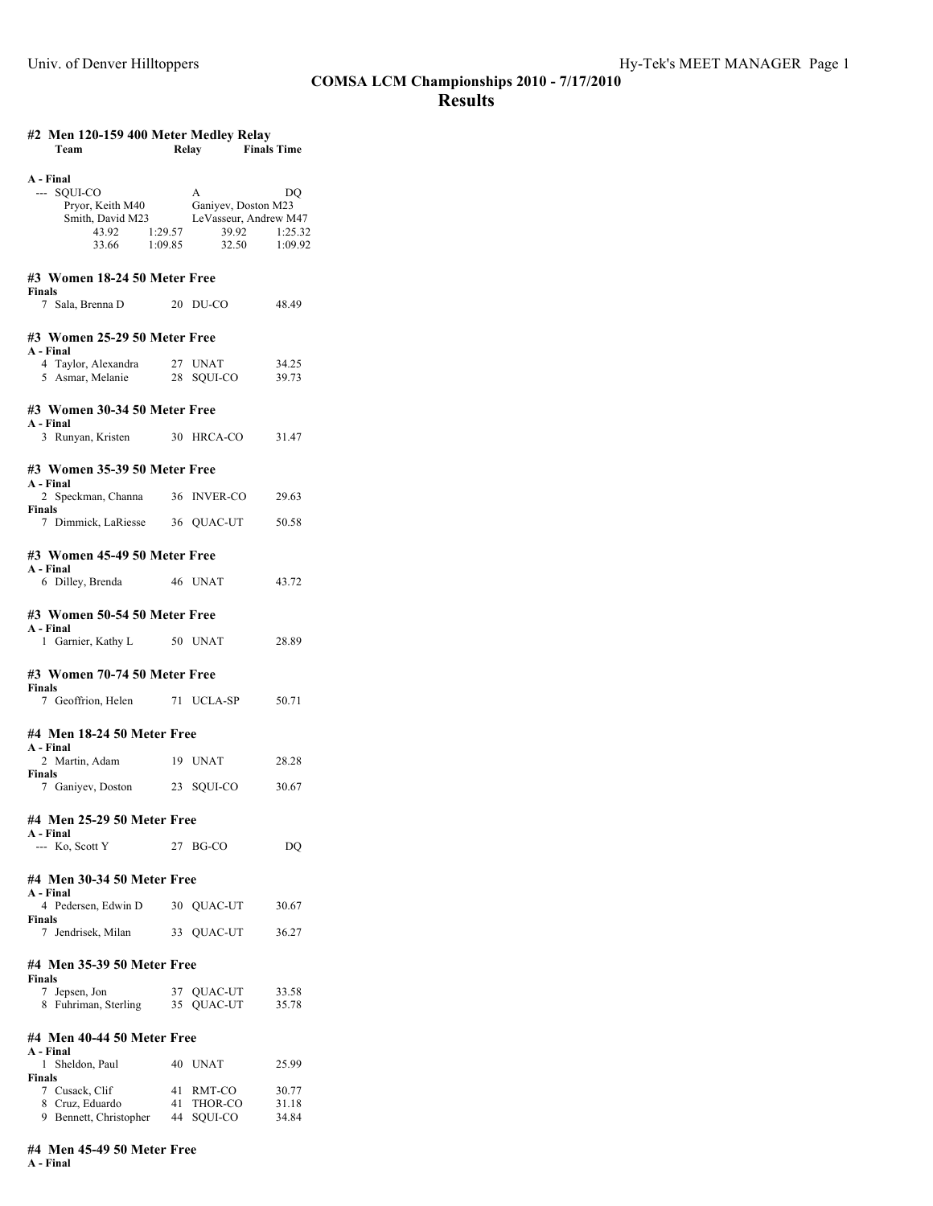# **#2 Men 120-159 400 Meter Medley Relay**

| <b>Finals Time</b><br>Team<br>Relay |  |  |
|-------------------------------------|--|--|

| A - Final<br>--- SOUI-CO<br>Pryor, Keith M40 Ganiyev, Doston M23<br>Smith, David M23 LeVasseur, Andrew M47<br>43.92 1:29.57<br>33.66 1:09.85 |          | A<br>39.92<br>32.50 1:09.92     | DQ<br>1:25.32           |  |  |
|----------------------------------------------------------------------------------------------------------------------------------------------|----------|---------------------------------|-------------------------|--|--|
| #3 Women 18-24 50 Meter Free<br><b>Finals</b>                                                                                                |          |                                 |                         |  |  |
| 7 Sala, Brenna D                                                                                                                             |          | 20 DU-CO                        | 48.49                   |  |  |
| #3 Women 25-29 50 Meter Free                                                                                                                 |          |                                 |                         |  |  |
| A - Final<br>4 Taylor, Alexandra 27 UNAT<br>5 Asmar, Melanie                                                                                 |          | 28 SOUI-CO                      | 34.25<br>39.73          |  |  |
| #3 Women 30-34 50 Meter Free                                                                                                                 |          |                                 |                         |  |  |
| A - Final<br>3 Runyan, Kristen 30 HRCA-CO                                                                                                    |          |                                 | 31.47                   |  |  |
| #3 Women 35-39 50 Meter Free                                                                                                                 |          |                                 |                         |  |  |
| A - Final<br>2 Speckman, Channa 36 INVER-CO                                                                                                  |          |                                 | 29.63                   |  |  |
| <b>Finals</b><br>7 Dimmick, LaRiesse 36 QUAC-UT                                                                                              |          |                                 | 50.58                   |  |  |
| #3 Women 45-49 50 Meter Free                                                                                                                 |          |                                 |                         |  |  |
| A - Final<br>6 Dilley, Brenda 46 UNAT                                                                                                        |          |                                 | 43.72                   |  |  |
| #3 Women 50-54 50 Meter Free                                                                                                                 |          |                                 |                         |  |  |
| A - Final<br>1 Garnier, Kathy L 50 UNAT                                                                                                      |          |                                 | 28.89                   |  |  |
| #3 Women 70-74 50 Meter Free                                                                                                                 |          |                                 |                         |  |  |
| Finals<br>7 Geoffrion, Helen 71 UCLA-SP                                                                                                      |          |                                 | 50.71                   |  |  |
| #4 Men 18-24 50 Meter Free                                                                                                                   |          |                                 |                         |  |  |
| A - Final<br>2 Martin, Adam                                                                                                                  |          | 19 UNAT                         | 28.28                   |  |  |
| Finals<br>7 Ganiyev, Doston 23 SQUI-CO                                                                                                       |          |                                 | 30.67                   |  |  |
| #4 Men 25-29 50 Meter Free                                                                                                                   |          |                                 |                         |  |  |
| A - Final<br>--- Ko, Scott Y                                                                                                                 |          | 27 BG-CO                        | DQ                      |  |  |
| #4 Men 30-34 50 Meter Free                                                                                                                   |          |                                 |                         |  |  |
| A - Final<br>4 Pedersen, Edwin D                                                                                                             |          | 30 QUAC-UT                      | 30.67                   |  |  |
| Finals<br>7 Jendrisek, Milan                                                                                                                 |          | 33 QUAC-UT                      | 36.27                   |  |  |
| #4 Men 35-39 50 Meter Free                                                                                                                   |          |                                 |                         |  |  |
| <b>Finals</b><br>7 Jepsen, Jon<br>8 Fuhriman, Sterling                                                                                       | 35       | 37 QUAC-UT<br>QUAC-UT           | 33.58<br>35.78          |  |  |
| #4 Men 40-44 50 Meter Free                                                                                                                   |          |                                 |                         |  |  |
| A - Final<br>1 Sheldon, Paul                                                                                                                 |          | 40 UNAT                         | 25.99                   |  |  |
| Finals<br>7 Cusack, Clif<br>8 Cruz, Eduardo<br>9 Bennett, Christopher                                                                        | 41<br>44 | RMT-CO<br>41 THOR-CO<br>SQUI-CO | 30.77<br>31.18<br>34.84 |  |  |

# **#4 Men 45-49 50 Meter Free**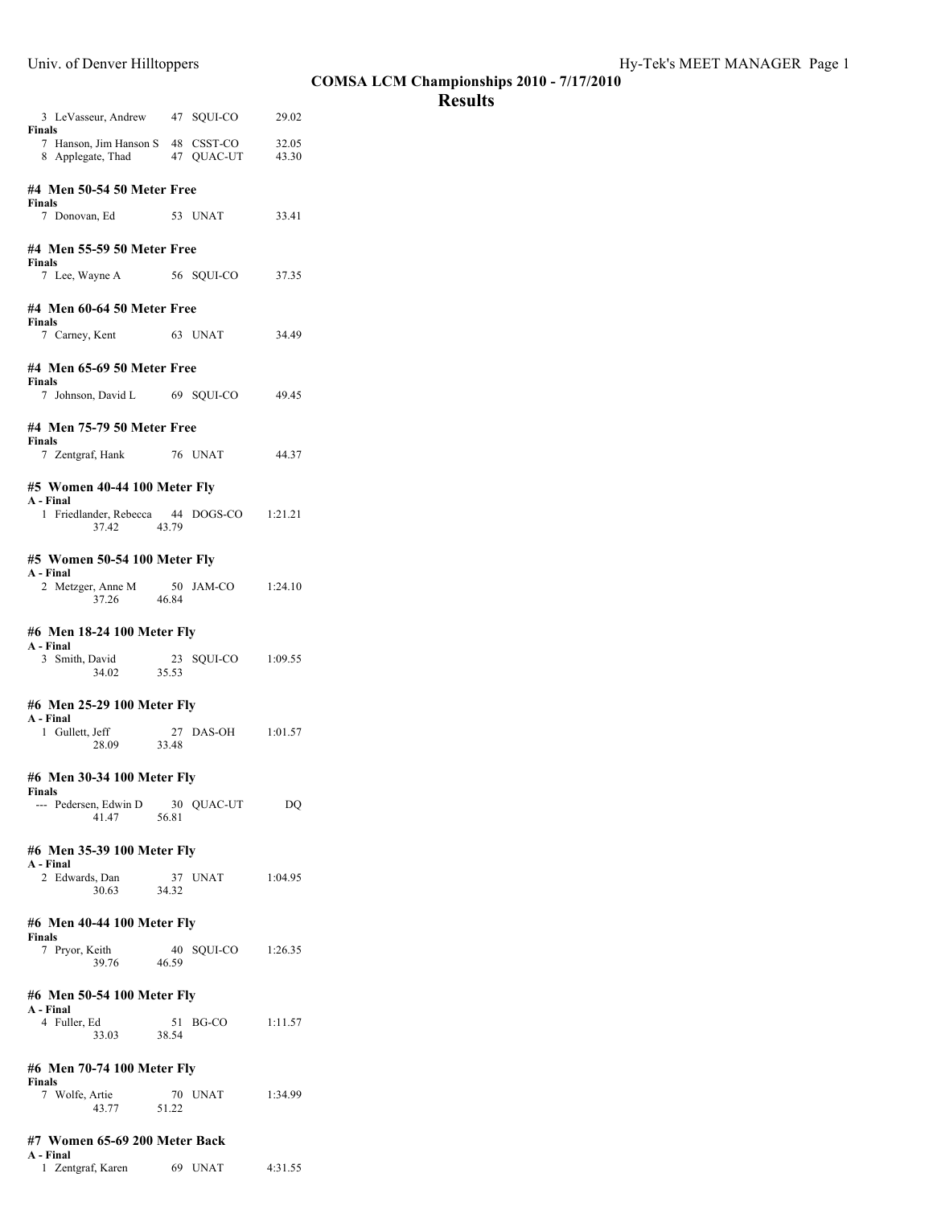|                                                                             |             |                   |                | COMS |
|-----------------------------------------------------------------------------|-------------|-------------------|----------------|------|
| 3 LeVasseur, Andrew 47 SQUI-CO 29.02                                        |             |                   |                |      |
| Finals<br>7 Hanson, Jim Hanson S 48 CSST-CO<br>8 Applegate, Thad 47 QUAC-UT |             |                   | 32.05<br>43.30 |      |
| #4 Men 50-54 50 Meter Free<br>Finals                                        |             |                   |                |      |
| 7 Donovan, Ed 53 UNAT                                                       |             |                   | 33.41          |      |
| #4 Men 55-59 50 Meter Free                                                  |             |                   |                |      |
| <b>Finals</b><br>7 Lee, Wayne A 56 SQUI-CO                                  |             |                   | 37.35          |      |
| #4 Men 60-64 50 Meter Free                                                  |             |                   |                |      |
| <b>Finals</b><br>7 Carney, Kent 63 UNAT                                     |             |                   | 34.49          |      |
| #4 Men 65-69 50 Meter Free<br><b>Finals</b>                                 |             |                   |                |      |
| 7 Johnson, David L 69 SQUI-CO                                               |             |                   | 49.45          |      |
| #4 Men 75-79 50 Meter Free                                                  |             |                   |                |      |
| Finals<br>7 Zentgraf, Hank 76 UNAT                                          |             |                   | 44.37          |      |
| #5 Women 40-44 100 Meter Fly                                                |             |                   |                |      |
| A - Final<br>1 Friedlander, Rebecca 44 DOGS-CO 1:21.21<br>37.42 43.79       |             |                   |                |      |
| #5 Women 50-54 100 Meter Fly                                                |             |                   |                |      |
| A - Final<br>2 Metzger, Anne M<br>37.26                                     | 46.84       | 50 JAM-CO 1:24.10 |                |      |
| #6 Men 18-24 100 Meter Fly                                                  |             |                   |                |      |
| A - Final<br>3 Smith, David<br>34.02                                        | 23<br>35.53 | SQUI-CO 1:09.55   |                |      |
|                                                                             |             |                   |                |      |
| #6 Men 25-29 100 Meter Fly<br>A - Final                                     |             |                   |                |      |
| 1 Gullett, Jeff<br>28.09                                                    | 33.48       | 27 DAS-OH 1:01.57 |                |      |
| #6 Men 30-34 100 Meter Fly                                                  |             |                   |                |      |
| Finals<br>--- Pedersen, Edwin D<br>41.47                                    | 56.81       | 30 OUAC-UT        | DQ             |      |
| #6 Men 35-39 100 Meter Fly                                                  |             |                   |                |      |
| A - Final<br>2 Edwards, Dan<br>30.63                                        | 34.32       | 37 UNAT           | 1:04.95        |      |
| #6 Men 40-44 100 Meter Fly                                                  |             |                   |                |      |
| Finals<br>7 Pryor, Keith<br>39.76                                           | 40<br>46.59 | SOUI-CO 1:26.35   |                |      |
| #6 Men 50-54 100 Meter Fly                                                  |             |                   |                |      |
| A - Final<br>4 Fuller, Ed<br>33.03                                          | 51<br>38.54 | BG-CO             | 1:11.57        |      |
| #6 Men 70-74 100 Meter Fly                                                  |             |                   |                |      |
| Finals<br>7 Wolfe, Artie<br>43.77                                           | 51.22       | 70 UNAT           | 1:34.99        |      |
| #7 Women 65-69 200 Meter Back                                               |             |                   |                |      |

**A - Final**

1 Zentgraf, Karen 69 UNAT 4:31.55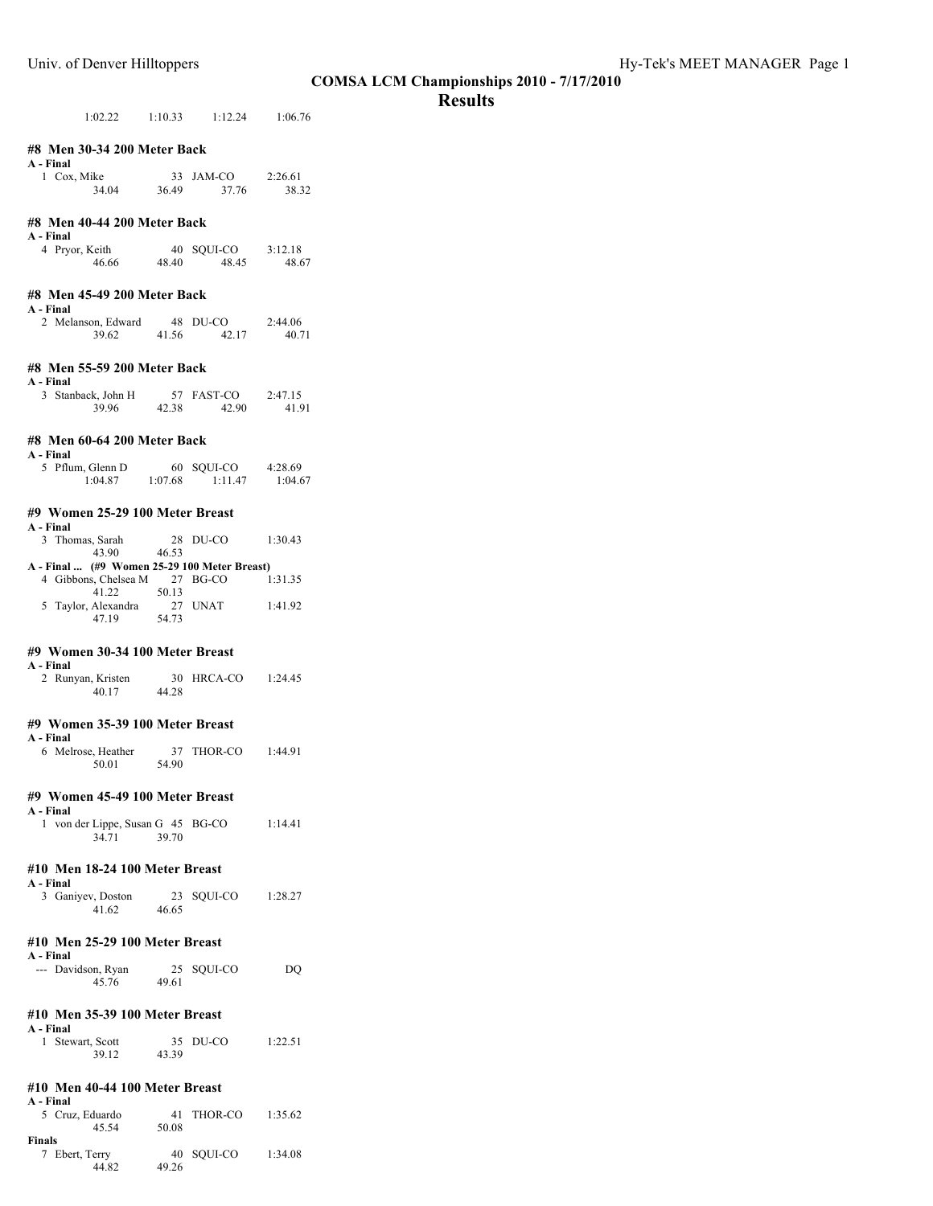# **Results**

|                                             |                                                                                              |       |                                         | UV.              |  |
|---------------------------------------------|----------------------------------------------------------------------------------------------|-------|-----------------------------------------|------------------|--|
|                                             |                                                                                              |       | $1:02.22$ $1:10.33$ $1:12.24$ $1:06.76$ |                  |  |
| A - Final                                   | #8 Men 30-34 200 Meter Back                                                                  |       |                                         |                  |  |
|                                             | 1 Cox, Mike<br>$34.04$ $36.49$                                                               |       | 33 JAM-CO 2:26.61<br>37.76              | 38.32            |  |
| A - Final                                   | #8 Men 40-44 200 Meter Back                                                                  |       |                                         |                  |  |
|                                             | 4 Pryor, Keith<br>46.66                                                                      | 48.40 | 40 SQUI-CO 3:12.18<br>48.45             | 48.67            |  |
| A - Final                                   | #8 Men 45-49 200 Meter Back                                                                  |       |                                         |                  |  |
|                                             | 2 Melanson, Edward 48 DU-CO<br>39.62 41.56 42.17                                             |       |                                         | 2:44.06<br>40.71 |  |
| A - Final                                   | #8 Men 55-59 200 Meter Back                                                                  |       |                                         |                  |  |
|                                             | 3 Stanback, John H 57 FAST-CO<br>39.96 42.38 42.90                                           |       |                                         | 2:47.15<br>41.91 |  |
| A - Final                                   | #8 Men 60-64 200 Meter Back                                                                  |       |                                         |                  |  |
|                                             | 5 Pflum, Glenn D 60 SQUI-CO 4:28.69<br>1:04.87 1:07.68 1:11.47 1:04.6                        |       |                                         | 1:04.67          |  |
| A - Final                                   | #9 Women 25-29 100 Meter Breast                                                              |       |                                         |                  |  |
|                                             | 3 Thomas, Sarah<br>$43.90$ $46.53$                                                           |       | 28 DU-CO                                | 1:30.43          |  |
|                                             | A - Final  (#9 Women 25-29 100 Meter Breast)<br>4 Gibbons, Chelsea M 27 BG-CO<br>41.22 50.13 |       |                                         | 1:31.35          |  |
|                                             | 5 Taylor, Alexandra 27 UNAT 1:41.92<br>47.19 54.73                                           |       |                                         |                  |  |
|                                             | #9 Women 30-34 100 Meter Breast                                                              |       |                                         |                  |  |
| A - Final                                   | 2 Runyan, Kristen<br>40.17                                                                   | 44.28 | 30 HRCA-CO 1:24.45                      |                  |  |
|                                             | #9 Women 35-39 100 Meter Breast                                                              |       |                                         |                  |  |
| A - Final                                   | 6 Melrose, Heather<br>50.01                                                                  |       | 37 THOR-CO 1:44.91<br>54.90             |                  |  |
|                                             | #9 Women 45-49 100 Meter Breast                                                              |       |                                         |                  |  |
| A - Final                                   | 1 von der Lippe, Susan G 45 BG-CO 1:14.41<br>34.71                                           | 39.70 |                                         |                  |  |
|                                             | #10 Men 18-24 100 Meter Breast                                                               |       |                                         |                  |  |
| A - Final                                   | 3 Ganiyev, Doston 23<br>41.62 46.65                                                          |       | 23 SQUI-CO 1:28.27                      |                  |  |
| #10 Men 25-29 100 Meter Breast<br>A - Final |                                                                                              |       |                                         |                  |  |
|                                             | --- Davidson, Ryan 25<br>45.76 49.61                                                         |       | 25 SQUI-CO                              | DQ               |  |
| A - Final                                   | #10 Men 35-39 100 Meter Breast                                                               |       |                                         |                  |  |
|                                             | 1 Stewart, Scott 35<br>39.12 43.39                                                           |       | 35 DU-CO                                | 1:22.51          |  |
|                                             | #10 Men 40-44 100 Meter Breast                                                               |       |                                         |                  |  |
| A - Final                                   | $5 \text{ C} \text{m}$ Eduardo $41 \text{ TUOD CO} 1.25.62$                                  |       |                                         |                  |  |

| A - Final<br>5 Cruz, Eduardo<br>45.54 | 41<br>50.08 | THOR-CO    | 1:35.62 |
|---------------------------------------|-------------|------------|---------|
| Finals<br>7 Ebert, Terry<br>44.82     | 49.26       | 40 SOUI-CO | 1:34.08 |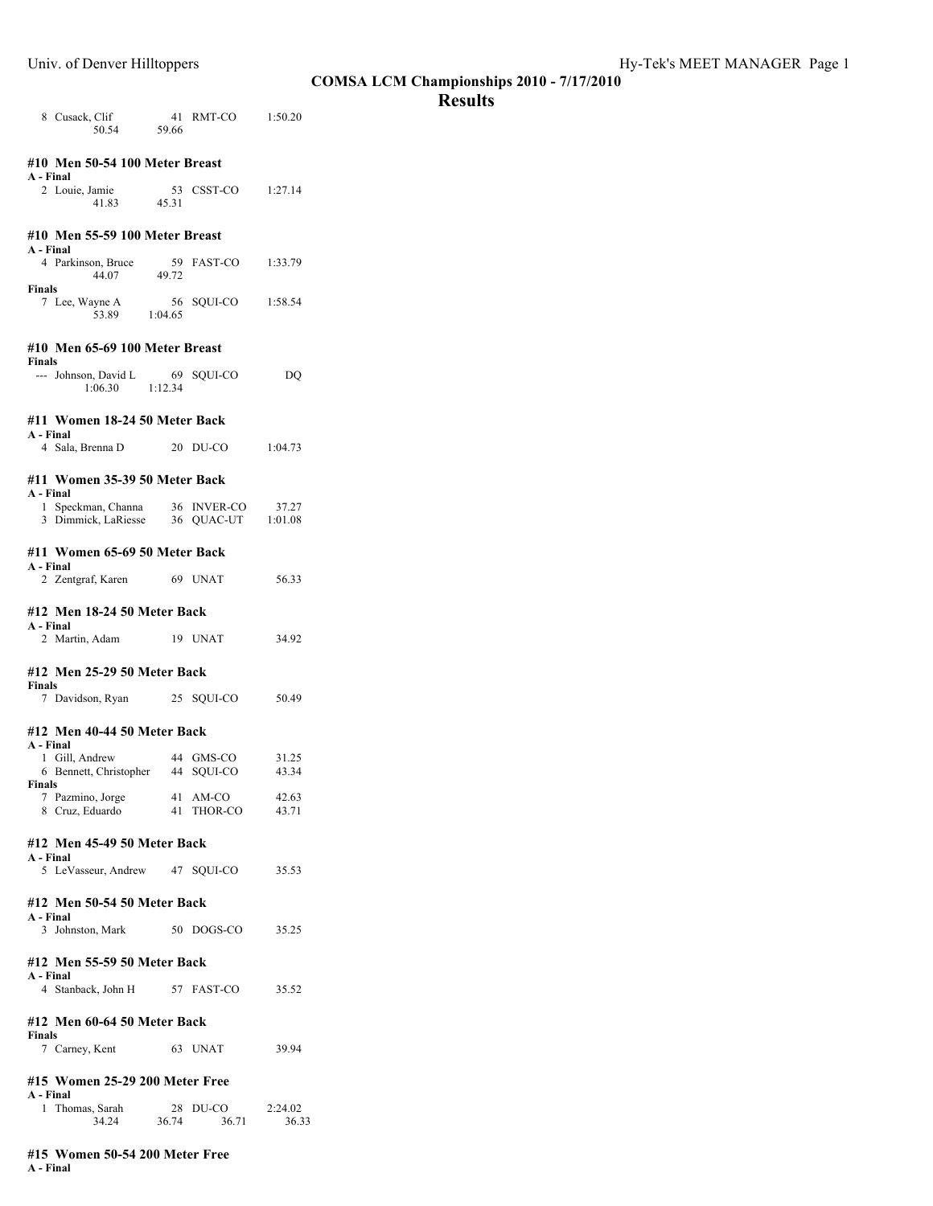# **Results**

| 8 Cusack, Clif<br>50.54 59.66                                                  |             | 41 RMT-CO          | 1:50.20          |  |  |  |
|--------------------------------------------------------------------------------|-------------|--------------------|------------------|--|--|--|
| #10 Men 50-54 100 Meter Breast<br>A - Final                                    |             |                    |                  |  |  |  |
| 2 Louie, Jamie 53 CSST-CO<br>41.83 45.31                                       |             |                    | 1:27.14          |  |  |  |
| #10 Men 55-59 100 Meter Breast<br>A - Final                                    |             |                    |                  |  |  |  |
| 4 Parkinson, Bruce 59 FAST-CO<br>44.07 49.72                                   |             |                    | 1:33.79          |  |  |  |
| <b>Finals</b><br>7 Lee, Wayne A 56<br>53.89 1:04.65                            |             | 56 SQUI-CO 1:58.54 |                  |  |  |  |
| #10 Men 65-69 100 Meter Breast                                                 |             |                    |                  |  |  |  |
| Finals<br>--- Johnson, David L 69 SQUI-CO<br>1:06.30 1:12.34                   |             |                    | DQ               |  |  |  |
| #11 Women 18-24 50 Meter Back<br>A - Final                                     |             |                    |                  |  |  |  |
| 4 Sala, Brenna D                                                               |             | $20$ DU-CO         | 1:04.73          |  |  |  |
| #11 Women 35-39 50 Meter Back<br>A - Final                                     |             |                    |                  |  |  |  |
| 1 Speckman, Channa 36 INVER-CO 37.27<br>3 Dimmick, LaRiesse 36 QUAC-UT 1:01.08 |             |                    |                  |  |  |  |
| #11 Women 65-69 50 Meter Back<br>A - Final                                     |             |                    |                  |  |  |  |
| 2 Zentgraf, Karen 69 UNAT                                                      |             |                    | 56.33            |  |  |  |
| #12 Men 18-24 50 Meter Back<br>A - Final                                       |             |                    |                  |  |  |  |
| 2 Martin, Adam                                                                 |             | 19 UNAT            | 34.92            |  |  |  |
| #12 Men 25-29 50 Meter Back<br>Finals                                          |             |                    |                  |  |  |  |
| 7 Davidson, Ryan 25 SQUI-CO                                                    |             |                    | 50.49            |  |  |  |
| #12 Men 40-44 50 Meter Back<br>A - Final                                       |             |                    |                  |  |  |  |
| 1 Gill, Andrew<br>6 Bennett, Christopher 44 SQUI-CO<br><b>Finals</b>           |             | 44 GMS-CO          | 31.25<br>43.34   |  |  |  |
| 7 Pazmino, Jorge<br>8 Cruz, Eduardo                                            | 41<br>41    | AM-CO<br>THOR-CO   | 42.63<br>43.71   |  |  |  |
| #12 Men 45-49 50 Meter Back<br>A - Final                                       |             |                    |                  |  |  |  |
| 5 LeVasseur, Andrew 47 SQUI-CO                                                 |             |                    | 35.53            |  |  |  |
| #12 Men 50-54 50 Meter Back<br>A - Final                                       |             |                    |                  |  |  |  |
| 3 Johnston, Mark                                                               |             | 50 DOGS-CO         | 35.25            |  |  |  |
| #12 Men 55-59 50 Meter Back<br>A - Final<br>4 Stanback, John H                 |             | 57 FAST-CO         |                  |  |  |  |
|                                                                                |             |                    | 35.52            |  |  |  |
| #12 Men 60-64 50 Meter Back<br><b>Finals</b><br>7 Carney, Kent                 |             | 63 UNAT            | 39.94            |  |  |  |
| #15 Women 25-29 200 Meter Free                                                 |             |                    |                  |  |  |  |
| A - Final<br>1.<br>Thomas, Sarah<br>34.24                                      | 28<br>36.74 | DU-CO<br>36.71     | 2:24.02<br>36.33 |  |  |  |
|                                                                                |             |                    |                  |  |  |  |

#### **#15 Women 50-54 200 Meter Free A - Final**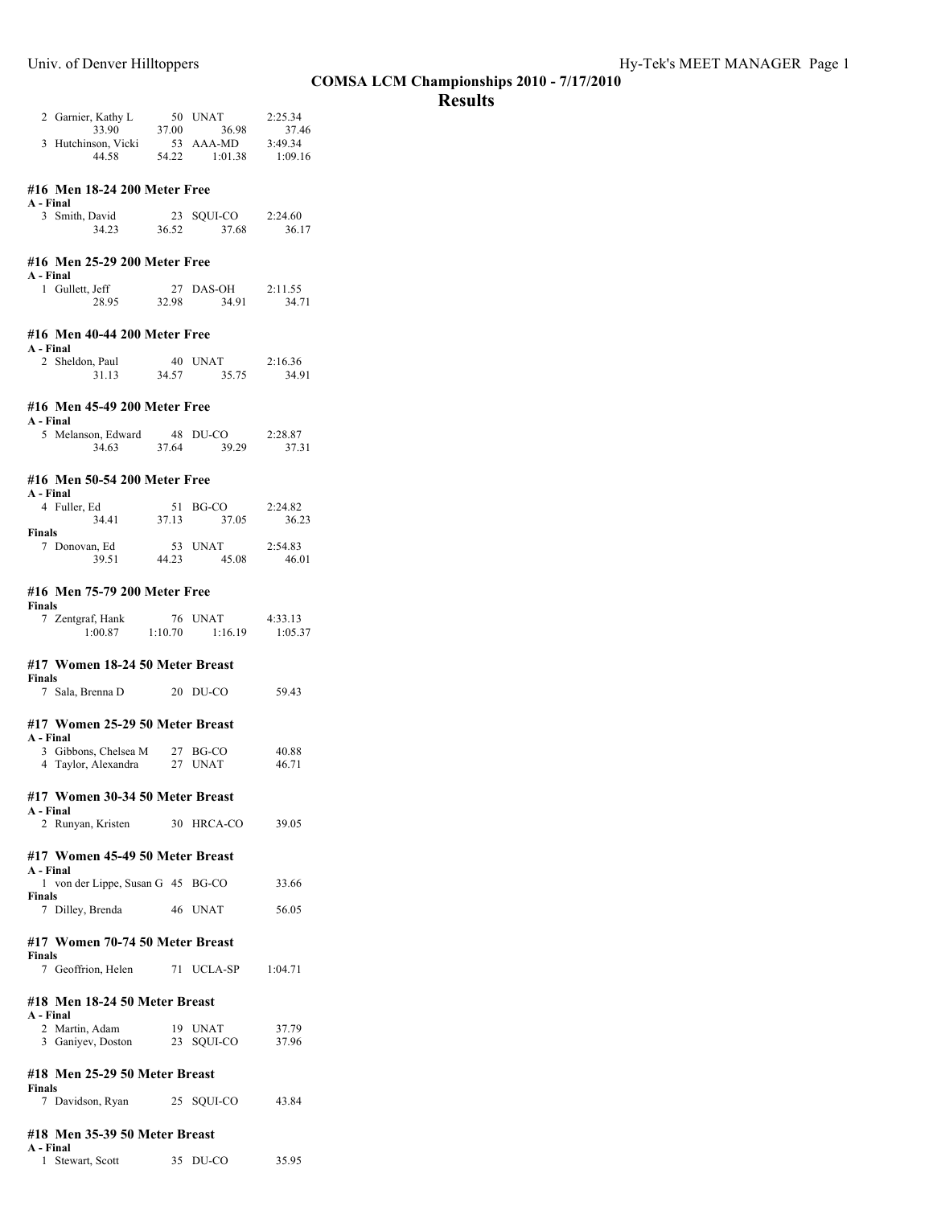# **Results**

| 2 Garnier, Kathy L                        | 50    | <b>UNAT</b> | 2:25.34 |
|-------------------------------------------|-------|-------------|---------|
| 33.90                                     | 37.00 | 36.98       | 37.46   |
| 3 Hutchinson, Vicki                       |       | 53 AAA-MD   | 3:49.34 |
| 44 58                                     | 54.22 | 1:01.38     | 1:09.16 |
| #16 Men 18-24 200 Meter Free              |       |             |         |
| A - Final                                 |       |             |         |
| 3 Smith, David                            | 23    | SOUI-CO     | 2:24.60 |
| 34.23                                     | 36.52 | 37.68       | 36.17   |
| #16 Men 25-29 200 Meter Free<br>A - Final |       |             |         |

| A - Final       |       |           |         |
|-----------------|-------|-----------|---------|
| 1 Gullett, Jeff |       | 27 DAS-OH | 2:11.55 |
| 28.95           | 32.98 | 34.91     | 34.71   |

# **#16 Men 40-44 200 Meter Free**

| A - Final       |       |         |         |
|-----------------|-------|---------|---------|
| 2 Sheldon, Paul |       | 40 UNAT | 2:16.36 |
| 31.13           | 34.57 | 35.75   | 34.91   |

# **#16 Men 45-49 200 Meter Free**

| A - Final          |       |          |         |
|--------------------|-------|----------|---------|
| 5 Melanson, Edward |       | 48 DU-CO | 2:28.87 |
| 34.63              | 37.64 | 39.29    | 37.31   |

### **#16 Men 50-54 200 Meter Free**

|       |       | 2:24.82             |
|-------|-------|---------------------|
| 37.13 | 37.05 | 36.23               |
|       |       |                     |
|       |       | 2:54.83             |
| 44.23 | 45.08 | 46.01               |
|       |       | 51 BG-CO<br>53 UNAT |

#### **#16 Men 75-79 200 Meter Free**

| Finals |                  |         |                |         |
|--------|------------------|---------|----------------|---------|
|        | 7 Zentgraf, Hank |         | 76 <b>UNAT</b> | 4:33.13 |
|        | 1:00.87          | 1:10.70 | 1:16.19        | 1:05.37 |

#### **#17 Women 18-24 50 Meter Breast Finals**

| т шаіэ |                  |          |       |
|--------|------------------|----------|-------|
|        | 7 Sala, Brenna D | 20 DU-CO | 59.43 |

### **#17 Women 25-29 50 Meter Breast**

| A - Final |                      |          |       |
|-----------|----------------------|----------|-------|
|           | 3 Gibbons, Chelsea M | 27 BG-CO | 40.88 |
|           | 4 Taylor, Alexandra  | 27 UNAT  | 46.71 |

#### **#17 Women 30-34 50 Meter Breast**

| A - Final |                   |  |            |       |
|-----------|-------------------|--|------------|-------|
|           | 2 Runyan, Kristen |  | 30 HRCA-CO | 39.05 |

## **#17 Women 45-49 50 Meter Breast**

| A - Final                         |         |       |
|-----------------------------------|---------|-------|
| 1 von der Lippe, Susan G 45 BG-CO |         | 33.66 |
| Finals                            |         |       |
| 7 Dilley, Brenda                  | 46 UNAT | 56.05 |

### **#17 Women 70-74 50 Meter Breast**

| Finals             |            |         |
|--------------------|------------|---------|
| 7 Geoffrion, Helen | 71 UCLA-SP | 1:04.71 |

#### **#18 Men 18-24 50 Meter Breast**

| A - Final         |            |       |
|-------------------|------------|-------|
| 2 Martin, Adam    | 19 UNAT    | 37.79 |
| 3 Ganiyev, Doston | 23 SQUI-CO | 37.96 |

#### **#18 Men 25-29 50 Meter Breast Finals**

| 7 Davidson, Ryan | 25 SQUI-CO | 43.84 |
|------------------|------------|-------|

### **#18 Men 35-39 50 Meter Breast**

| rınal<br>. . |  |
|--------------|--|
|              |  |

| 1 Stewart, Scott | 35 DU-CO | 35.95 |
|------------------|----------|-------|
|                  |          |       |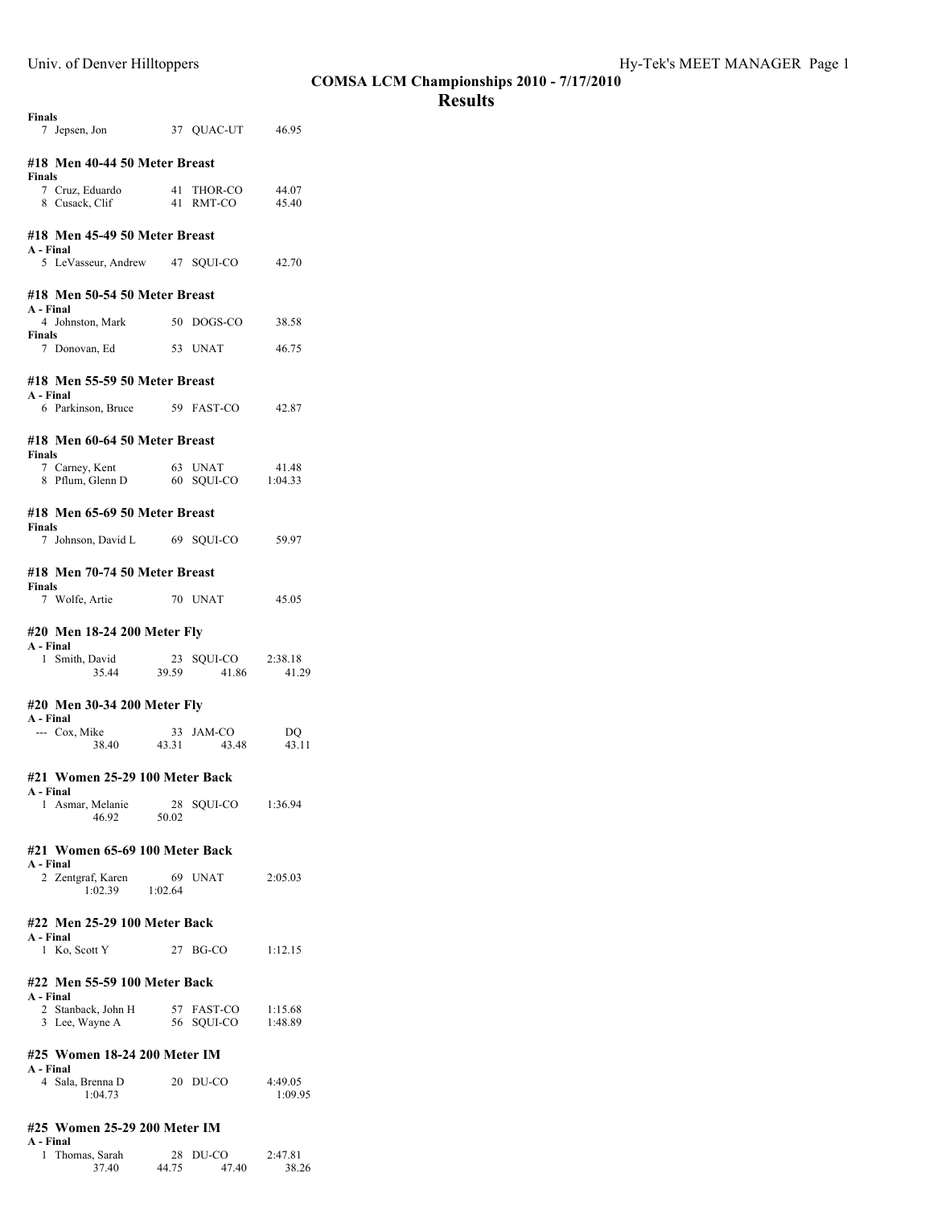# **Results**

| <b>Finals</b><br>7 Jepsen, Jon 37 QUAC-UT 46.95               |                      |                               |                    |  |  |  |  |  |  |
|---------------------------------------------------------------|----------------------|-------------------------------|--------------------|--|--|--|--|--|--|
| #18 Men 40-44 50 Meter Breast                                 |                      |                               |                    |  |  |  |  |  |  |
| <b>Finals</b><br>7 Cruz, Eduardo<br>8 Cusack, Clif            |                      | 41 THOR-CO<br>41 RMT-CO       | 44.07<br>45.40     |  |  |  |  |  |  |
| #18 Men 45-49 50 Meter Breast                                 |                      |                               |                    |  |  |  |  |  |  |
| A - Final<br>5 LeVasseur, Andrew 47 SQUI-CO                   |                      |                               | 42.70              |  |  |  |  |  |  |
| #18 Men 50-54 50 Meter Breast                                 |                      |                               |                    |  |  |  |  |  |  |
| A - Final<br>4 Johnston, Mark 50 DOGS-CO 38.58                |                      |                               |                    |  |  |  |  |  |  |
| Finals<br>7 Donovan, Ed 53 UNAT                               |                      |                               | 46.75              |  |  |  |  |  |  |
| #18 Men 55-59 50 Meter Breast                                 |                      |                               |                    |  |  |  |  |  |  |
| A - Final<br>6 Parkinson, Bruce 59 FAST-CO                    |                      |                               | 42.87              |  |  |  |  |  |  |
| #18 Men 60-64 50 Meter Breast                                 |                      |                               |                    |  |  |  |  |  |  |
| Finals<br>7 Carney, Kent<br>8 Pflum, Glenn D                  |                      | 63 UNAT<br>60 SOUI-CO 1:04.33 | 41.48              |  |  |  |  |  |  |
| #18 Men 65-69 50 Meter Breast                                 |                      |                               |                    |  |  |  |  |  |  |
| <b>Finals</b>                                                 |                      |                               |                    |  |  |  |  |  |  |
| 7 Johnson, David L 69 SOUI-CO 59.97                           |                      |                               |                    |  |  |  |  |  |  |
| #18 Men 70-74 50 Meter Breast                                 |                      |                               |                    |  |  |  |  |  |  |
| <b>Finals</b><br>7 Wolfe, Artie                               |                      | 70 UNAT                       | 45.05              |  |  |  |  |  |  |
| #20 Men 18-24 200 Meter Fly                                   |                      |                               |                    |  |  |  |  |  |  |
| A - Final<br>Smith, David<br>1                                |                      | SQUI-CO 2:38.18               |                    |  |  |  |  |  |  |
| 35.44                                                         | 23<br>39.59          | 41.86                         | 41.29              |  |  |  |  |  |  |
|                                                               |                      |                               |                    |  |  |  |  |  |  |
| #20 Men 30-34 200 Meter Fly<br>A - Final                      |                      |                               |                    |  |  |  |  |  |  |
| --- Cox, Mike<br>38.40 43.31                                  |                      | 33 JAM-CO<br>43.48            | DO<br>43.11        |  |  |  |  |  |  |
| #21 Women 25-29 100 Meter Back                                |                      |                               |                    |  |  |  |  |  |  |
| A - Final<br>1 Asmar, Melanie<br>46.92                        | 28<br>50.02          | SQUI-CO                       | 1:36.94            |  |  |  |  |  |  |
| #21 Women 65-69 100 Meter Back                                |                      |                               |                    |  |  |  |  |  |  |
| A - Final<br>2 Zentgraf, Karen<br>1:02.39                     | $\frac{69}{1:02.64}$ | 69 UNAT                       | 2:05.03            |  |  |  |  |  |  |
|                                                               |                      |                               |                    |  |  |  |  |  |  |
| #22 Men 25-29 100 Meter Back<br>A - Final                     |                      |                               |                    |  |  |  |  |  |  |
| 1 Ko, Scott Y                                                 |                      | $27$ BG-CO                    | 1:12.15            |  |  |  |  |  |  |
| #22 Men 55-59 100 Meter Back                                  |                      |                               |                    |  |  |  |  |  |  |
| A - Final<br>2 Stanback, John H<br>3 Lee, Wayne A             |                      | 57 FAST-CO<br>56 SQUI-CO      | 1:15.68<br>1:48.89 |  |  |  |  |  |  |
|                                                               |                      |                               |                    |  |  |  |  |  |  |
| #25 Women 18-24 200 Meter IM<br>A - Final<br>4 Sala, Brenna D |                      | 20 DU-CO                      | 4:49.05            |  |  |  |  |  |  |
| 1:04.73                                                       |                      |                               | 1:09.95            |  |  |  |  |  |  |

| 1 Thomas, Sarah |       | $28$ DU-CO | 2:47.81 |
|-----------------|-------|------------|---------|
| 37.40           | 44.75 | 47.40      | 38.26   |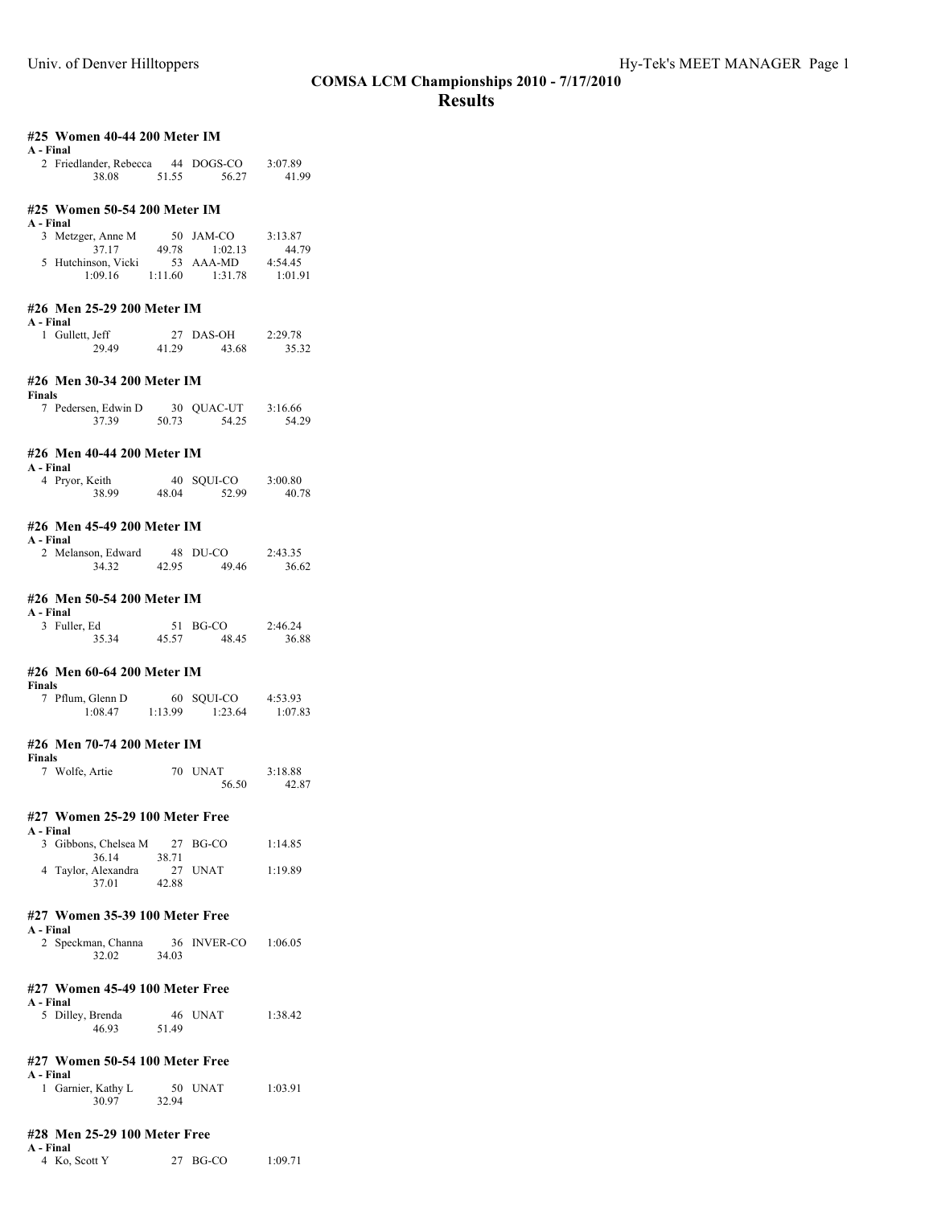| #25 Women 40-44 200 Meter IM<br>A - Final  |             |                     |                  |
|--------------------------------------------|-------------|---------------------|------------------|
| 2 Friedlander, Rebecca 44 DOGS-CO<br>38.08 | 51.55       | 56.27               | 3:07.89<br>41.99 |
|                                            |             |                     |                  |
| #25 Women 50-54 200 Meter IM               |             |                     |                  |
| A - Final                                  |             |                     |                  |
| 3 Metzger, Anne M                          |             | 50 JAM-CO           | 3:13.87          |
|                                            | 37.17 49.78 | 1:02.13             | 44.79            |
| 5 Hutchinson, Vicki 53 AAA-MD 4:54.45      |             |                     |                  |
| 1:09.16                                    |             | $1:11.60$ $1:31.78$ | 1:01.91          |
| #26 Men 25-29 200 Meter IM<br>A - Final    |             |                     |                  |
| 1 Gullett, Jeff                            | 27          | DAS-OH              | 2:29.78          |
| 29.49                                      | 41.29       | 43.68               | 35.32            |
| #26 Men 30-34 200 Meter IM                 |             |                     |                  |
| <b>Finals</b>                              |             |                     |                  |
| 7 Pedersen, Edwin D                        | 30          | QUAC-UT 3:16.66     |                  |
| 37.39                                      | 50.73       | 54.25               | 54.29            |
| #26 Men 40-44 200 Meter IM<br>A - Final    |             |                     |                  |
| 4 Pryor, Keith                             | 40          | SQUI-CO             | 3:00.80          |
| 38.99                                      | 48.04       | 52.99               | 40.78            |

# **#26 Men 45-49 200 Meter IM**

|  | шч |
|--|----|
|  |    |

| 2 Melanson, Edward |       | 48 DU-CO | 2:43.35 |
|--------------------|-------|----------|---------|
| 34.32              | 42.95 | 49.46    | 36.62   |

#### **#26 Men 50-54 200 Meter IM**

| A - Final    |       |          |         |  |  |  |
|--------------|-------|----------|---------|--|--|--|
| 3 Fuller, Ed |       | 51 BG-CO | 2:46.24 |  |  |  |
| 35.34        | 45.57 | 48.45    | 36.88   |  |  |  |

#### **#26 Men 60-64 200 Meter IM**

| Finals           |         |            |         |
|------------------|---------|------------|---------|
| 7 Pflum, Glenn D |         | 60 SOUI-CO | 4:53.93 |
| 1:08.47          | 1:13.99 | 1:23.64    | 1:07.83 |

#### **#26 Men 70-74 200 Meter IM Finals**

| г шатэ         |         |                |
|----------------|---------|----------------|
| 7 Wolfe, Artie | 70 UNAT | 3:18.88        |
|                |         | 56.50<br>42.87 |

#### **#27 Women 25-29 100 Meter Free**

| A - Final |                      |       |          |         |
|-----------|----------------------|-------|----------|---------|
|           | 3 Gibbons, Chelsea M |       | 27 BG-CO | 1:14.85 |
|           | 36.14                | 38.71 |          |         |
|           | 4 Taylor, Alexandra  |       | 27 UNAT  | 1:19.89 |
|           | 37.01                | 42.88 |          |         |

### **#27 Women 35-39 100 Meter Free**

| A - Final          |       |             |         |
|--------------------|-------|-------------|---------|
| 2 Speckman, Channa |       | 36 INVER-CO | 1:06.05 |
| 32.02              | 34.03 |             |         |

#### **#27 Women 45-49 100 Meter Free A - Final**

|  | 5 Dilley, Brenda |       | 46 UNAT | 1:38.42 |
|--|------------------|-------|---------|---------|
|  | 46.93            | 51.49 |         |         |

#### **#27 Women 50-54 100 Meter Free A - Final**

| - - |                    |       |         |         |
|-----|--------------------|-------|---------|---------|
|     | 1 Garnier, Kathy L |       | 50 UNAT | 1:03.91 |
|     | 30.97              | 32.94 |         |         |

#### **#28 Men 25-29 100 Meter Free A - Final**

4 Ko, Scott Y 27 BG-CO 1:09.71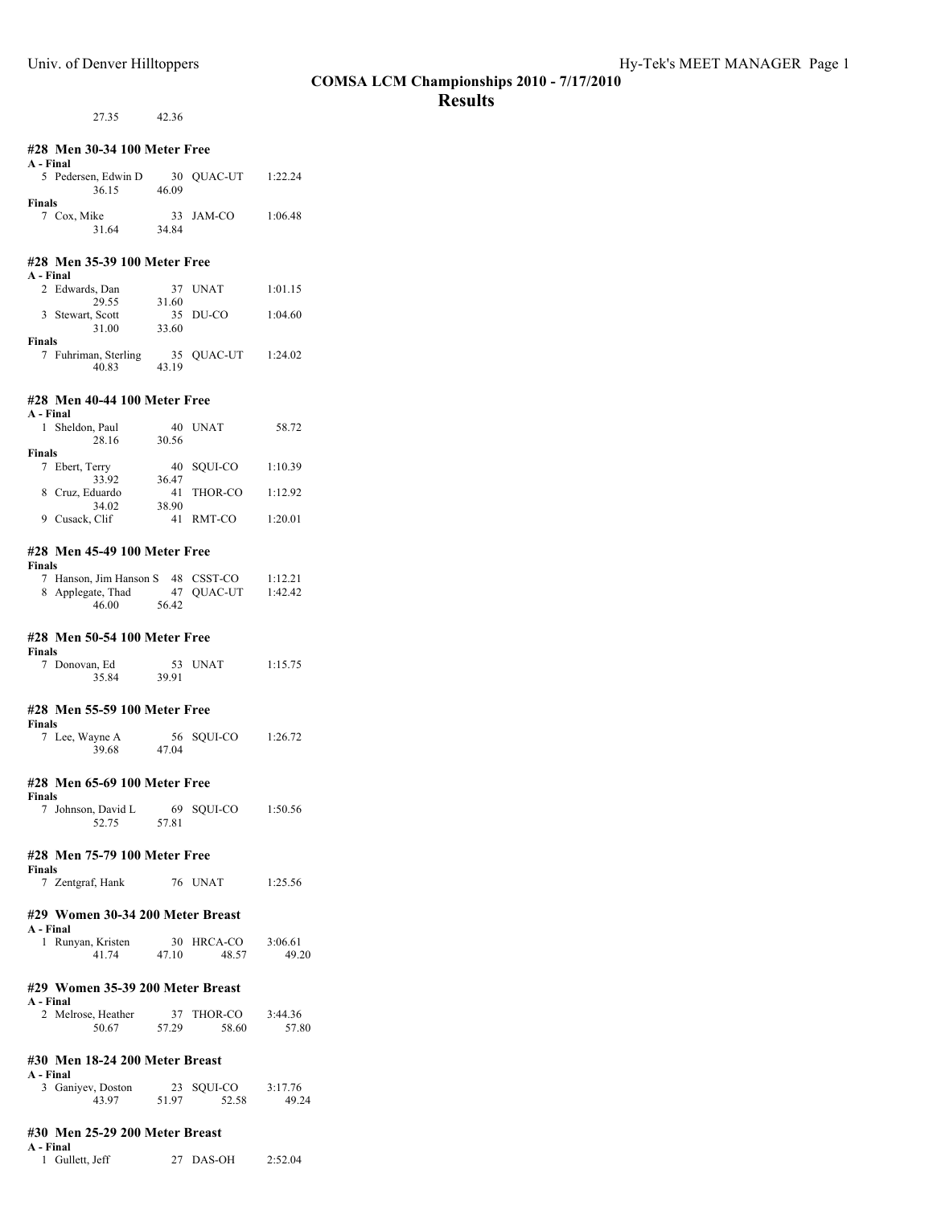# 27.35 42.36

| #28 Men 30-34 100 Meter Free                                 |       |                             |                  |  |
|--------------------------------------------------------------|-------|-----------------------------|------------------|--|
| A - Final                                                    |       |                             |                  |  |
| 5 Pedersen, Edwin D 30 QUAC-UT 1:22.24<br>36.15 46.09        |       |                             |                  |  |
| <b>Finals</b>                                                |       |                             |                  |  |
| 7 Cox, Mike<br>31.64                                         | 34.84 | 33 JAM-CO                   | 1:06.48          |  |
| #28 Men 35-39 100 Meter Free<br>A - Final                    |       |                             |                  |  |
| 2 Edwards, Dan<br>29.55                                      | 31.60 | 37 UNAT                     | 1:01.15          |  |
| 3 Stewart, Scott<br>31.00                                    | 33.60 | 35 DU-CO                    | 1:04.60          |  |
| Finals                                                       |       |                             |                  |  |
| 7 Fuhriman, Sterling 35 QUAC-UT 1:24.02<br>40.83 43.19       |       |                             |                  |  |
| #28 Men 40-44 100 Meter Free                                 |       |                             |                  |  |
| A - Final                                                    |       |                             |                  |  |
| 1 Sheldon, Paul<br>28.16                                     | 30.56 | 40 UNAT                     | 58.72            |  |
| Finals                                                       |       |                             |                  |  |
| 7 Ebert, Terry<br>33.92                                      | 36.47 | 40 SQUI-CO 1:10.39          |                  |  |
| 8 Cruz, Eduardo<br>34.02                                     | 38.90 | 41 THOR-CO 1:12.92          |                  |  |
| 9 Cusack, Clif                                               |       | 41 RMT-CO 1:20.01           |                  |  |
| #28 Men 45-49 100 Meter Free<br><b>Finals</b>                |       |                             |                  |  |
| 7 Hanson, Jim Hanson S 48 CSST-CO                            |       |                             | 1:12.21          |  |
| 8 Applegate, Thad 47 QUAC-UT 1:42.42<br>46.00 56.42<br>46.00 |       |                             |                  |  |
| #28 Men 50-54 100 Meter Free<br>Finals                       |       |                             |                  |  |
| 7 Donovan, Ed<br>35.84                                       | 39.91 | 53 UNAT                     | 1:15.75          |  |
| #28 Men 55-59 100 Meter Free<br>Finals                       |       |                             |                  |  |
| 7 Lee, Wayne A<br>39.68                                      | 47.04 | 56 SQUI-CO 1:26.72          |                  |  |
| #28 Men 65-69 100 Meter Free<br>Finals                       |       |                             |                  |  |
| 7 Johnson, David L 69 SQUI-CO<br>52.75 57.81                 |       |                             | 1:50.56          |  |
| #28 Men 75-79 100 Meter Free                                 |       |                             |                  |  |
| <b>Finals</b><br>7 Zentgraf, Hank                            |       | 76 UNAT                     | 1:25.56          |  |
| #29 Women 30-34 200 Meter Breast                             |       |                             |                  |  |
| A - Final                                                    |       |                             | 3:06.61          |  |
| 1 Runyan, Kristen 30 HRCA-CO<br>41.74                        | 47.10 | 48.57                       | 49.20            |  |
| #29 Women 35-39 200 Meter Breast<br>A - Final                |       |                             |                  |  |
| 2 Melrose, Heather<br>50.67                                  | 57.29 | 37 THOR-CO<br>58.60         | 3:44.36<br>57.80 |  |
| #30 Men 18-24 200 Meter Breast                               |       |                             |                  |  |
| A - Final                                                    |       |                             |                  |  |
| 3 Ganiyev, Doston<br>43.97                                   | 51.97 | 23 SQUI-CO 3:17.76<br>52.58 | 49.24            |  |
|                                                              |       |                             |                  |  |

#### **#30 Men 25-29 200 Meter Breast**

**A - Final** 1 Gullett, Jeff 27 DAS-OH 2:52.04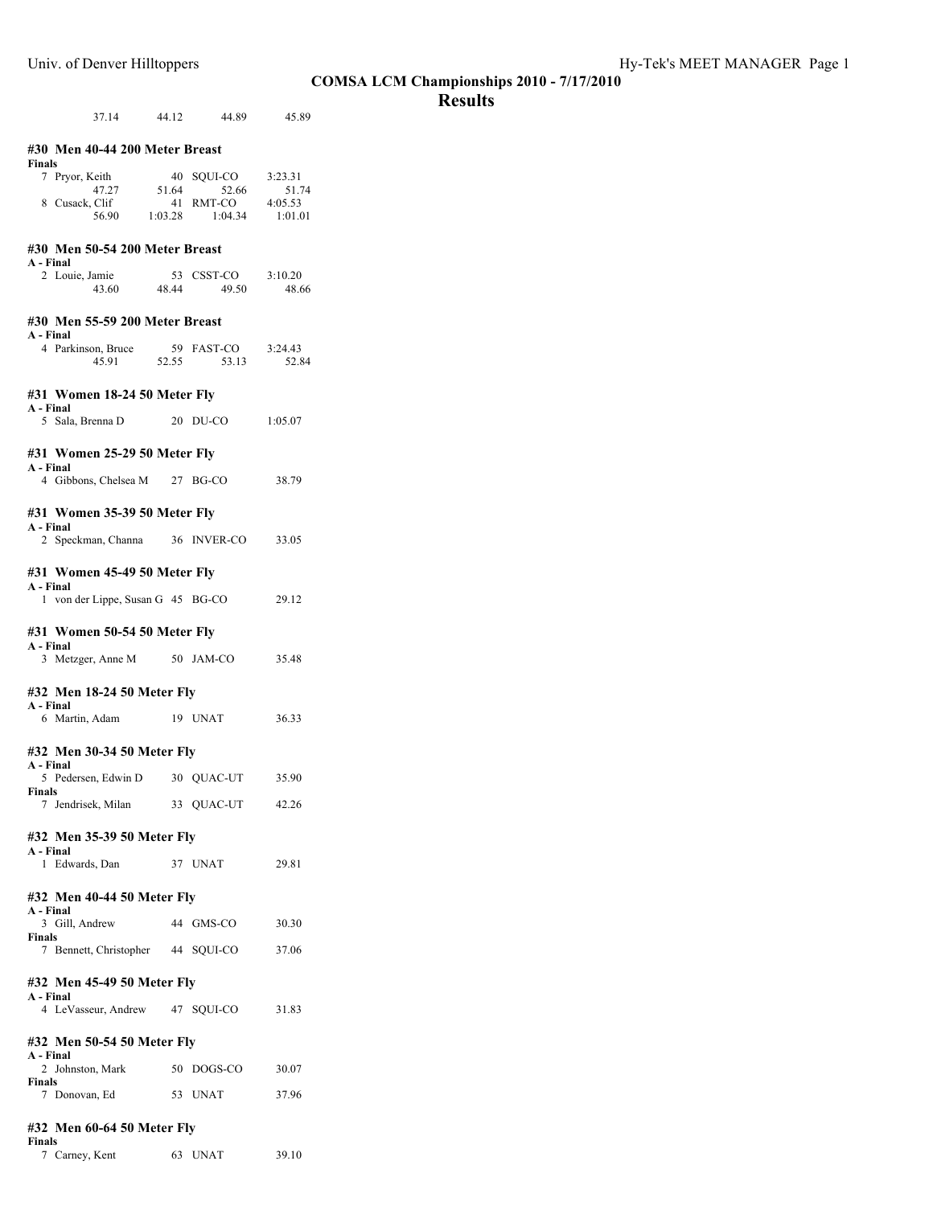# **Results**

| 37.14 44.12 44.89 45.89                            |       |                                      |         |
|----------------------------------------------------|-------|--------------------------------------|---------|
| #30 Men 40-44 200 Meter Breast<br>Finals           |       |                                      |         |
| 7 Pryor, Keith                                     | 51.64 | 40 SQUI-CO 3:23.31                   |         |
| $47.27$<br>8 Cusack, Clif                          |       | .64 52.66 51.74<br>41 RMT-CO 4:05.53 |         |
| 56.90 1:03.28 1:04.34                              |       |                                      | 1:01.01 |
| #30 Men 50-54 200 Meter Breast<br>A - Final        |       |                                      |         |
| 2 Louie, Jamie                                     |       | 53 CSST-CO 3:10.20                   |         |
| 43.60 48.44                                        |       | 49.50                                | 48.66   |
| #30 Men 55-59 200 Meter Breast                     |       |                                      |         |
| A - Final<br>4 Parkinson, Bruce 59 FAST-CO 3:24.43 |       |                                      |         |
| 45.91                                              | 52.55 | 53.13                                | 52.84   |
| #31 Women 18-24 50 Meter Fly<br>A - Final          |       |                                      |         |
| 5 Sala, Brenna D 20 DU-CO                          |       |                                      | 1:05.07 |
| #31 Women 25-29 50 Meter Fly                       |       |                                      |         |
| A - Final<br>4 Gibbons, Chelsea M 27 BG-CO         |       |                                      |         |
|                                                    |       |                                      | 38.79   |
| #31 Women 35-39 50 Meter Fly                       |       |                                      |         |
| A - Final<br>2 Speckman, Channa 36 INVER-CO 33.05  |       |                                      |         |
|                                                    |       |                                      |         |
| #31 Women 45-49 50 Meter Fly<br>A - Final          |       |                                      |         |
| 1 von der Lippe, Susan G 45 BG-CO                  |       |                                      | 29.12   |
|                                                    |       |                                      |         |
| #31 Women 50-54 50 Meter Fly<br>A - Final          |       |                                      |         |
| 3 Metzger, Anne M 50 JAM-CO                        |       |                                      | 35.48   |
| #32 Men 18-24 50 Meter Fly                         |       |                                      |         |
| A - Final<br>6 Martin, Adam 19 UNAT                |       |                                      | 36.33   |
|                                                    |       |                                      |         |
| #32 Men 30-34 50 Meter Fly<br>A - Final            |       |                                      |         |
| 5 Pedersen, Edwin D 30 QUAC-UT                     |       |                                      | 35.90   |
| Finals<br>7 Jendrisek, Milan 33 QUAC-UT 42.26      |       |                                      |         |
|                                                    |       |                                      |         |
| #32 Men 35-39 50 Meter Fly<br>A - Final            |       |                                      |         |
| 1 Edwards, Dan                                     |       | 37 UNAT                              | 29.81   |
| #32 Men 40-44 50 Meter Fly                         |       |                                      |         |
| A - Final                                          |       |                                      |         |
| 3 Gill, Andrew 44 GMS-CO<br>Finals                 |       |                                      | 30.30   |
| 7 Bennett, Christopher 44 SQUI-CO 37.06            |       |                                      |         |
| #32 Men 45-49 50 Meter Fly                         |       |                                      |         |
| A - Final<br>4 LeVasseur, Andrew 47 SQUI-CO        |       |                                      | 31.83   |
|                                                    |       |                                      |         |
| #32 Men 50-54 50 Meter Fly<br>A - Final            |       |                                      |         |
| 2 Johnston, Mark 50 DOGS-CO 30.07                  |       |                                      |         |
| Finals<br>7 Donovan, Ed 53 UNAT 37.96              |       |                                      |         |
|                                                    |       |                                      |         |
| #32 Men 60-64 50 Meter Fly<br>Finals               |       |                                      |         |

| .              |         |       |
|----------------|---------|-------|
| 7 Carney, Kent | 63 UNAT | 39.10 |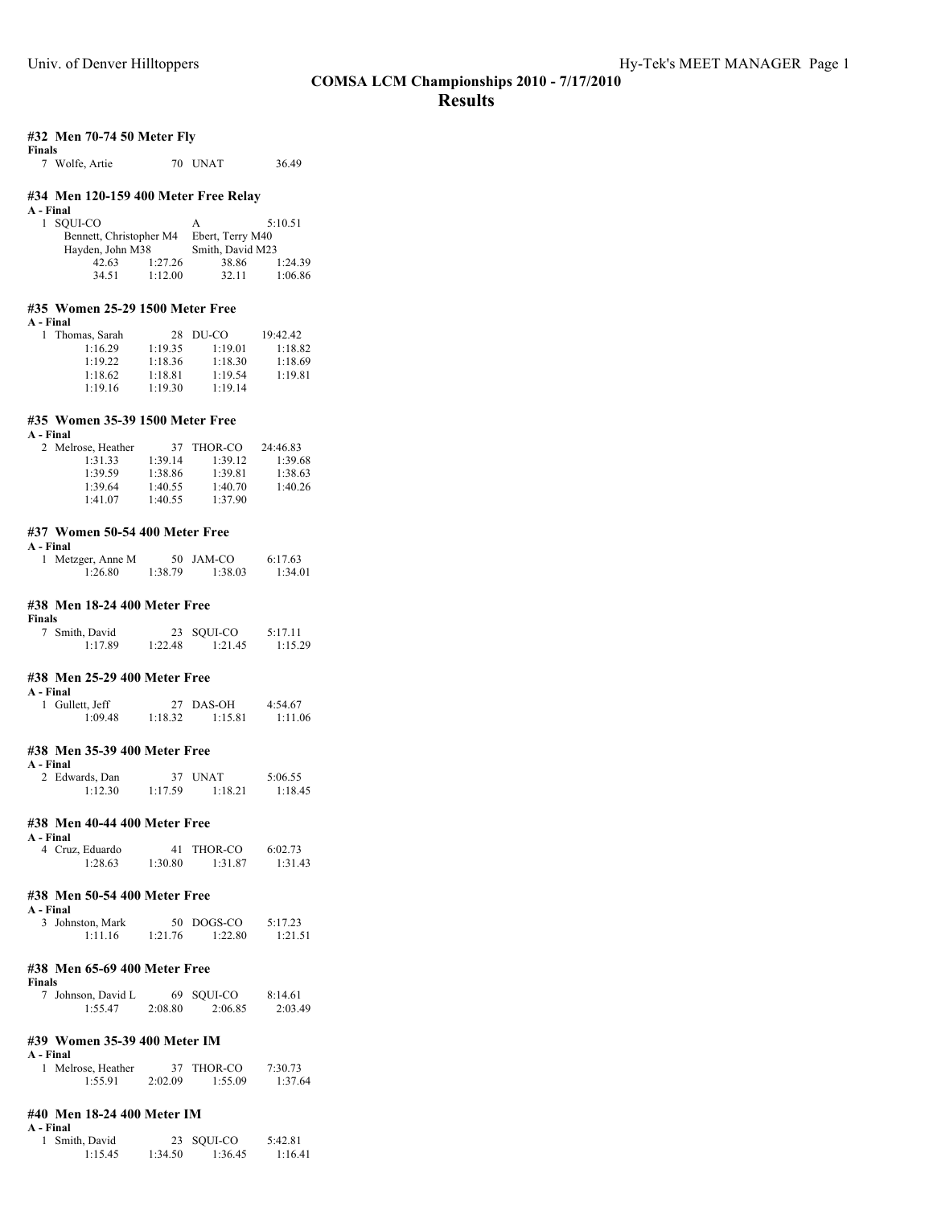#### **#32 Men 70-74 50 Meter Fly Finals**

7 Wolfe, Artie 70 UNAT 36.49

## **#34 Men 120-159 400 Meter Free Relay**

| A - Final |                         |         |                  |         |
|-----------|-------------------------|---------|------------------|---------|
|           | 1 SOUI-CO               |         | А                | 5:10.51 |
|           | Bennett, Christopher M4 |         | Ebert, Terry M40 |         |
|           | Hayden, John M38        |         | Smith, David M23 |         |
|           | 42.63                   | 1:27.26 | 38.86            | 1:24.39 |
|           | 34.51                   | 1:12.00 | 32.11            | 1:06.86 |

### **#35 Women 25-29 1500 Meter Free**

| Final |
|-------|
|-------|

| Thomas, Sarah |         | $28$ DU-CO | 19:42.42 |
|---------------|---------|------------|----------|
| 1:16.29       | 1:19.35 | 1:19.01    | 1:18.82  |
| 1:19.22       | 1:18.36 | 1:18.30    | 1:18.69  |
| 1:18.62       | 1:18.81 | 1:19.54    | 1:19.81  |
| 1:19.16       | 1:19.30 | 1:19.14    |          |

## **#35 Women 35-39 1500 Meter Free**

| A - Final          |         |         |          |  |  |  |
|--------------------|---------|---------|----------|--|--|--|
| 2 Melrose, Heather | 37      | THOR-CO | 24:46.83 |  |  |  |
| 1:31.33            | 1:39.14 | 1:39.12 | 1:39.68  |  |  |  |
| 1:39.59            | 1:38.86 | 1:39.81 | 1:38.63  |  |  |  |
| 1:39.64            | 1:40.55 | 1:40.70 | 1:40.26  |  |  |  |
| 1:41.07            | 1:40.55 | 1:37.90 |          |  |  |  |

### **#37 Women 50-54 400 Meter Free**

| п<br>пя |
|---------|
|---------|

| 1 Metzger, Anne M |         | 50 JAM-CO | 6:17.63 |
|-------------------|---------|-----------|---------|
| 1:26.80           | 1:38.79 | 1:38.03   | 1:34.01 |

#### **#38 Men 18-24 400 Meter Free**

**Finals**

| . |                |         |            |         |
|---|----------------|---------|------------|---------|
|   | 7 Smith, David |         | 23 SQUI-CO | 5:17.11 |
|   | 1:17.89        | 1:22.48 | 1:21.45    | 1:15.29 |

### **#38 Men 25-29 400 Meter Free**

**A - Final**

| - гипан         |         |           |         |  |  |
|-----------------|---------|-----------|---------|--|--|
| 1 Gullett, Jeff |         | 27 DAS-OH | 4:54.67 |  |  |
| 1:09.48         | 1:18.32 | 1:15.81   | 1:11.06 |  |  |

### **#38 Men 35-39 400 Meter Free**

| A - Final      |         |         |         |  |  |
|----------------|---------|---------|---------|--|--|
| 2 Edwards, Dan |         | 37 UNAT | 5:06.55 |  |  |
| 1:12.30        | 1:17.59 | 1:18.21 | 1:18.45 |  |  |

#### **#38 Men 40-44 400 Meter Free**

**A - Final**

| 4 Cruz, Eduardo |         | 41 THOR-CO | 6:02.73 |
|-----------------|---------|------------|---------|
| 1:28.63         | 1:30.80 | 1:31.87    | 1:31.43 |

### **#38 Men 50-54 400 Meter Free**

|  | --------         |         |            |         |
|--|------------------|---------|------------|---------|
|  | 3 Johnston, Mark |         | 50 DOGS-CO | 5:17.23 |
|  | 1:11.16          | 1:21.76 | 1:22.80    | 1:21.51 |

#### **#38 Men 65-69 400 Meter Free**

**Finals** 7 Johnson, David L 69 SQUI-CO 8:14.61 1:55.47 2:08.80 2:06.85 2:03.49

#### **#39 Women 35-39 400 Meter IM**

|  | រោទ<br>н |
|--|----------|
|--|----------|

| 1 Melrose, Heather |         | 37 THOR-CO | 7:30.73 |
|--------------------|---------|------------|---------|
| 1:55.91            | 2:02.09 | 1:55.09    | 1:37.64 |

#### **#40 Men 18-24 400 Meter IM A - Final**

|  | 1 Smith, David |         | 23 SQUI-CO | 5:42.81 |
|--|----------------|---------|------------|---------|
|  | 1:15.45        | 1:34.50 | 1:36.45    | 1:16.41 |